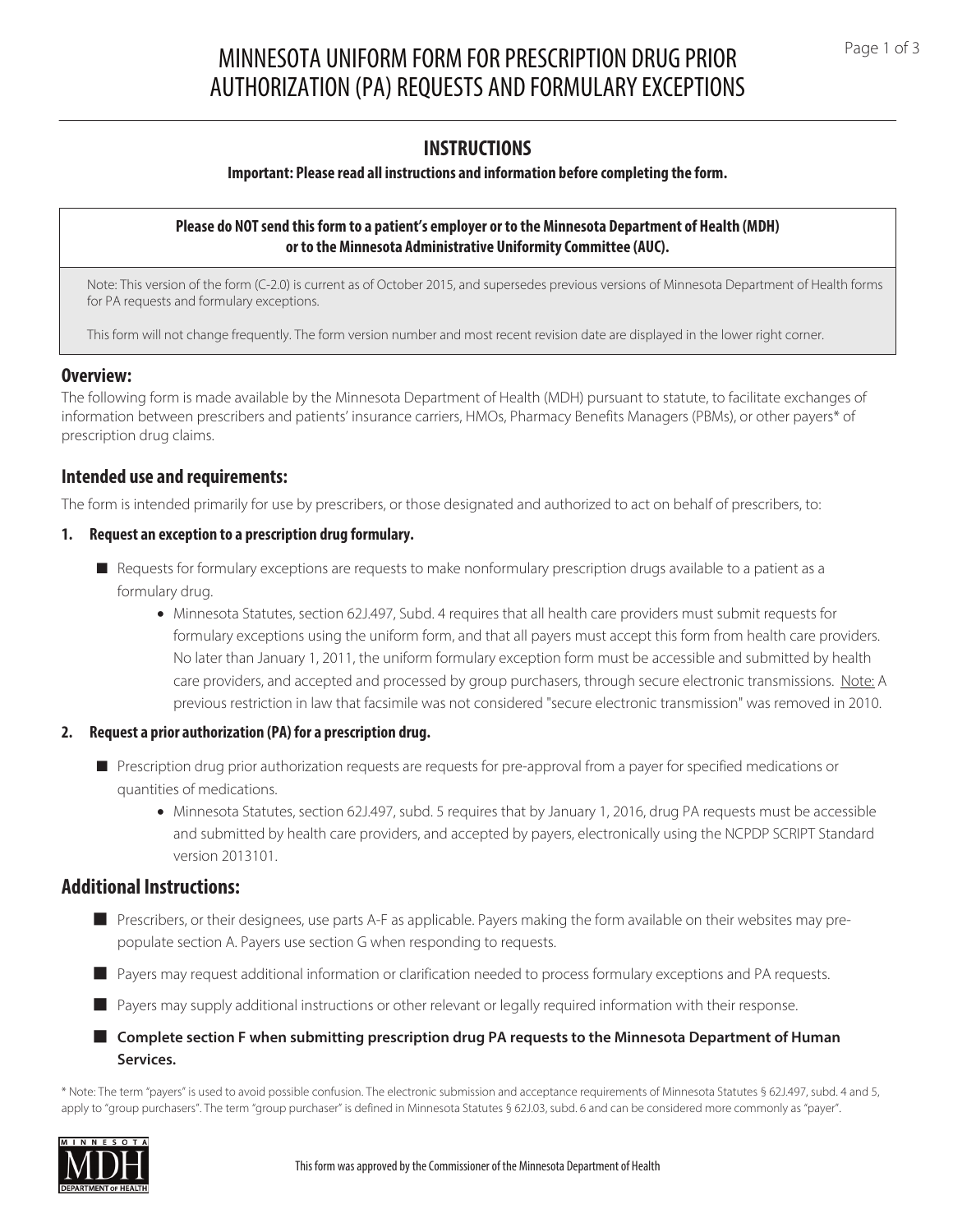## MINNESOTA UNIFORM FORM FOR PRESCRIPTION DRUG PRIOR Page 1 of 3 AUTHORIZATION (PA) REQUESTS AND FORMULARY EXCEPTIONS

## $\overline{a}$ **INSTRUCTIONS**

### **Important: Please read all instructions and information before completing the form.**

#### **Please do NOT send this form to a patient's employer or to the Minnesota Department of Health (MDH) or to the Minnesota Administrative Uniformity Committee (AUC).**

Note: This version of the form (C-2.0) is current as of October 2015, and supersedes previous versions of Minnesota Department of Health forms for PA requests and formulary exceptions.

This form will not change frequently. The form version number and most recent revision date are displayed in the lower right corner.

### **Overview:**

The following form is made available by the Minnesota Department of Health (MDH) pursuant to statute, to facilitate exchanges of information between prescribers and patients' insurance carriers, HMOs, Pharmacy Benefits Managers (PBMs), or other payers\* of prescription drug claims.

### **Intended use and requirements:**

The form is intended primarily for use by prescribers, or those designated and authorized to act on behalf of prescribers, to:

### **1. Request an exception to a prescription drug formulary.**

- Requests for formulary exceptions are requests to make nonformulary prescription drugs available to a patient as a formulary drug.
	- Minnesota Statutes, section 62J.497, Subd. 4 requires that all health care providers must submit requests for formulary exceptions using the uniform form, and that all payers must accept this form from health care providers. No later than January 1, 2011, the uniform formulary exception form must be accessible and submitted by health care providers, and accepted and processed by group purchasers, through secure electronic transmissions. Note: A previous restriction in law that facsimile was not considered "secure electronic transmission" was removed in 2010.

#### **2. Request a prior authorization (PA) for a prescription drug.**

- Prescription drug prior authorization requests are requests for pre-approval from a payer for specified medications or quantities of medications.
	- Minnesota Statutes, section 62J.497, subd. 5 requires that by January 1, 2016, drug PA requests must be accessible and submitted by health care providers, and accepted by payers, electronically using the NCPDP SCRIPT Standard version 2013101.

### **Additional Instructions:**

- Prescribers, or their designees, use parts A-F as applicable. Payers making the form available on their websites may prepopulate section A. Payers use section G when responding to requests.
- Payers may request additional information or clarification needed to process formulary exceptions and PA requests.

■ Payers may supply additional instructions or other relevant or legally required information with their response.

#### ■ Complete section F when submitting prescription drug PA requests to the Minnesota Department of Human **Services.**

\* Note: The term "payers" is used to avoid possible confusion. The electronic submission and acceptance requirements of Minnesota Statutes § 62J.497, subd. 4 and 5, apply to "group purchasers". The term "group purchaser" is defined in Minnesota Statutes § 62J.03, subd. 6 and can be considered more commonly as "payer".

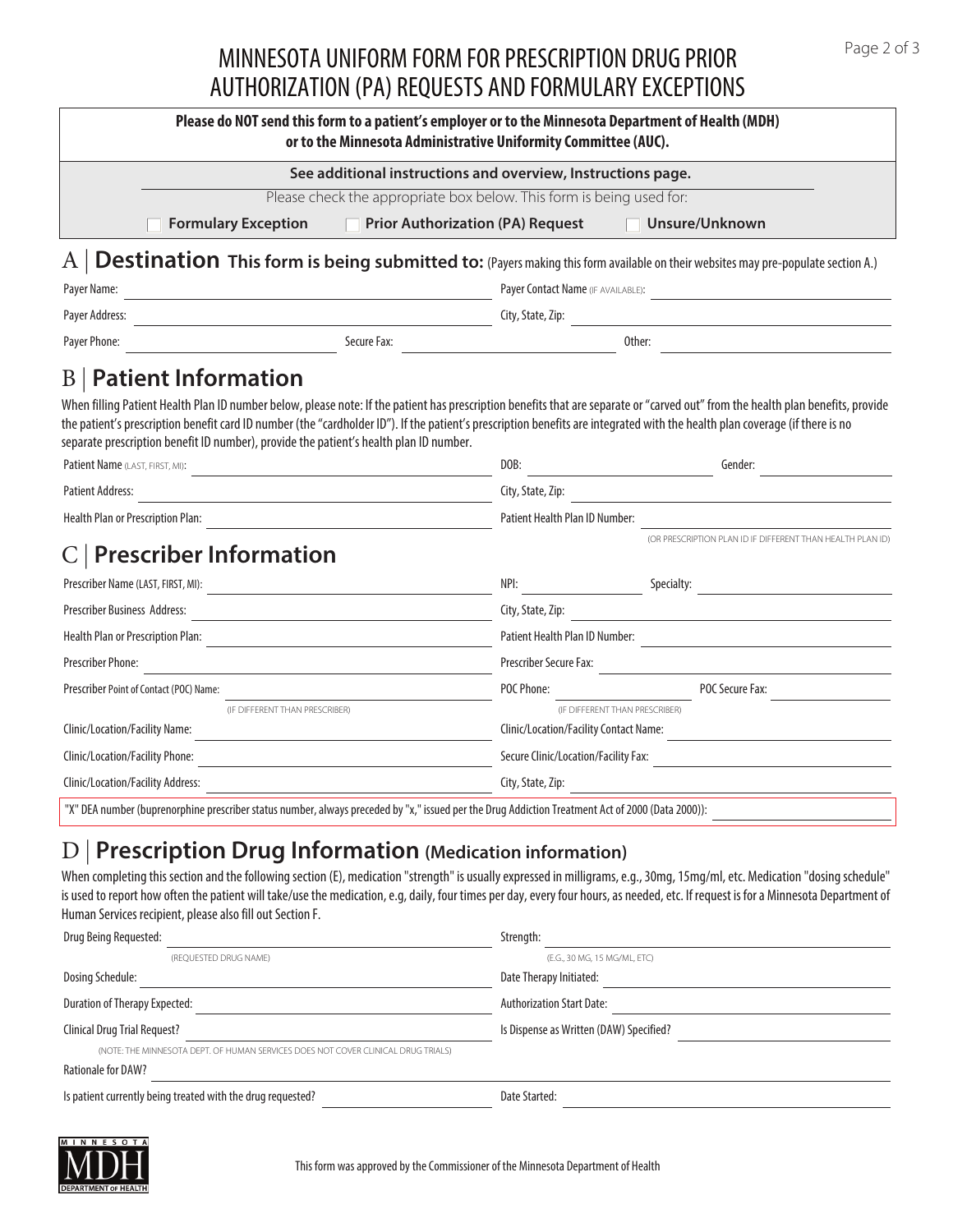# MINNESOTA UNIFORM FORM FOR PRESCRIPTION DRUG PRIOR Page 2 of 3 AUTHORIZATION (PA) REQUESTS AND FORMULARY EXCEPTIONS

| Please do NOT send this form to a patient's employer or to the Minnesota Department of Health (MDH)<br>or to the Minnesota Administrative Uniformity Committee (AUC).                                                                                                                                     |                                                                                                                         |                                                                                                                                                                                                                                      |                                                                                                                                                                                             |  |
|-----------------------------------------------------------------------------------------------------------------------------------------------------------------------------------------------------------------------------------------------------------------------------------------------------------|-------------------------------------------------------------------------------------------------------------------------|--------------------------------------------------------------------------------------------------------------------------------------------------------------------------------------------------------------------------------------|---------------------------------------------------------------------------------------------------------------------------------------------------------------------------------------------|--|
|                                                                                                                                                                                                                                                                                                           |                                                                                                                         | See additional instructions and overview, Instructions page.                                                                                                                                                                         |                                                                                                                                                                                             |  |
|                                                                                                                                                                                                                                                                                                           |                                                                                                                         | Please check the appropriate box below. This form is being used for:                                                                                                                                                                 |                                                                                                                                                                                             |  |
| <b>Formulary Exception</b>                                                                                                                                                                                                                                                                                |                                                                                                                         | <b>Prior Authorization (PA) Request Convert Convertsion Convertsion Convertsion Convertsion Convertsion Convertsion Convertsion Convertsion Convertsion Convertsion Convertsion Convertsion Convertsion Convertsion Convertsion </b> |                                                                                                                                                                                             |  |
|                                                                                                                                                                                                                                                                                                           |                                                                                                                         |                                                                                                                                                                                                                                      | Destination This form is being submitted to: (Payers making this form available on their websites may pre-populate section A.)                                                              |  |
| Payer Name:                                                                                                                                                                                                                                                                                               | <u> Andreas Andreas Andreas Andreas Andreas Andreas Andreas Andreas Andreas Andreas Andreas Andreas Andreas Andreas</u> | Payer Contact Name (IF AVAILABLE):                                                                                                                                                                                                   |                                                                                                                                                                                             |  |
| Payer Address:                                                                                                                                                                                                                                                                                            | <u> 1989 - Johann Barn, mars eta bainar eta baina eta baina eta baina eta baina eta baina eta baina eta baina e</u>     | City, State, Zip:                                                                                                                                                                                                                    | <u> 1980 - Andrea Station, amerikansk politik (</u>                                                                                                                                         |  |
| Payer Phone:                                                                                                                                                                                                                                                                                              | $\sim$ Secure Fax: $\sim$ Secure Fax: $\sim$                                                                            |                                                                                                                                                                                                                                      |                                                                                                                                                                                             |  |
| the patient's prescription benefit card ID number (the "cardholder ID"). If the patient's prescription benefits are integrated with the health plan coverage (if there is no<br>separate prescription benefit ID number), provide the patient's health plan ID number.<br>Patient Name (LAST, FIRST, MI): | <u> 1989 - Johann Barbara, martxa alemaniar a</u>                                                                       | DOB:                                                                                                                                                                                                                                 | When filling Patient Health Plan ID number below, please note: If the patient has prescription benefits that are separate or "carved out" from the health plan benefits, provide<br>Gender: |  |
| <b>Patient Address:</b>                                                                                                                                                                                                                                                                                   | <u> 1989 - Johann Barn, fransk politik (f. 1989)</u>                                                                    | City, State, Zip:                                                                                                                                                                                                                    |                                                                                                                                                                                             |  |
| Health Plan or Prescription Plan:                                                                                                                                                                                                                                                                         | the control of the control of the control of the control of the control of                                              | Patient Health Plan ID Number:                                                                                                                                                                                                       |                                                                                                                                                                                             |  |
| <b>Prescriber Information</b>                                                                                                                                                                                                                                                                             |                                                                                                                         |                                                                                                                                                                                                                                      | (OR PRESCRIPTION PLAN ID IF DIFFERENT THAN HEALTH PLAN ID)                                                                                                                                  |  |
| Prescriber Name (LAST, FIRST, MI):                                                                                                                                                                                                                                                                        | <u> 1989 - Johann Stoff, deutscher Stoffen und der Stoffen und der Stoffen und der Stoffen und der Stoffen und der</u>  | NPI:<br><u>and the community of the community</u>                                                                                                                                                                                    |                                                                                                                                                                                             |  |
| Prescriber Business Address:                                                                                                                                                                                                                                                                              | <u> 1989 - Johann Barn, mars eta bainar eta bainar eta baina eta baina eta baina eta baina eta baina eta baina e</u>    | City, State, Zip:                                                                                                                                                                                                                    | <u> 1989 - Johann Barbara, martin amerikan personal (</u>                                                                                                                                   |  |
| Health Plan or Prescription Plan:                                                                                                                                                                                                                                                                         | <u> 1989 - Johann Stoff, fransk politik (d. 1989)</u>                                                                   | Patient Health Plan ID Number:                                                                                                                                                                                                       |                                                                                                                                                                                             |  |
| Prescriber Phone:                                                                                                                                                                                                                                                                                         |                                                                                                                         | Prescriber Secure Fax:                                                                                                                                                                                                               |                                                                                                                                                                                             |  |
| Prescriber Point of Contact (POC) Name:                                                                                                                                                                                                                                                                   |                                                                                                                         | POC Phone:                                                                                                                                                                                                                           | POC Secure Fax:                                                                                                                                                                             |  |
| Clinic/Location/Facility Name:                                                                                                                                                                                                                                                                            | (IF DIFFERENT THAN PRESCRIBER)                                                                                          | (IF DIFFERENT THAN PRESCRIBER)                                                                                                                                                                                                       |                                                                                                                                                                                             |  |
| Clinic/Location/Facility Phone:                                                                                                                                                                                                                                                                           |                                                                                                                         | Secure Clinic/Location/Facility Fax:                                                                                                                                                                                                 |                                                                                                                                                                                             |  |
| Clinic/Location/Facility Address:                                                                                                                                                                                                                                                                         |                                                                                                                         | City, State, Zip:                                                                                                                                                                                                                    | <u> 1980 - John Stein, Amerikaansk politiker (</u>                                                                                                                                          |  |
| "X" DEA number (buprenorphine prescriber status number, always preceded by "x," issued per the Drug Addiction Treatment Act of 2000 (Data 2000)):                                                                                                                                                         |                                                                                                                         |                                                                                                                                                                                                                                      |                                                                                                                                                                                             |  |

# D | **Prescription Drug Information (Medication information)**

When completing this section and the following section (E), medication "strength" is usually expressed in milligrams, e.g., 30mg, 15mg/ml, etc. Medication "dosing schedule" is used to report how often the patient will take/use the medication, e.g, daily, four times per day, every four hours, as needed, etc. If request is for a Minnesota Department of Human Services recipient, please also fill out Section F.

| Drug Being Requested:                                                             | Strength:                               |  |
|-----------------------------------------------------------------------------------|-----------------------------------------|--|
| (REQUESTED DRUG NAME)                                                             | (E.G., 30 MG, 15 MG/ML, ETC)            |  |
| Dosing Schedule:                                                                  | Date Therapy Initiated:                 |  |
| Duration of Therapy Expected:                                                     | <b>Authorization Start Date:</b>        |  |
| Clinical Drug Trial Request?                                                      | Is Dispense as Written (DAW) Specified? |  |
| (NOTE: THE MINNESOTA DEPT. OF HUMAN SERVICES DOES NOT COVER CLINICAL DRUG TRIALS) |                                         |  |
| <b>Rationale for DAW?</b>                                                         |                                         |  |
| Is patient currently being treated with the drug requested?                       | Date Started:                           |  |